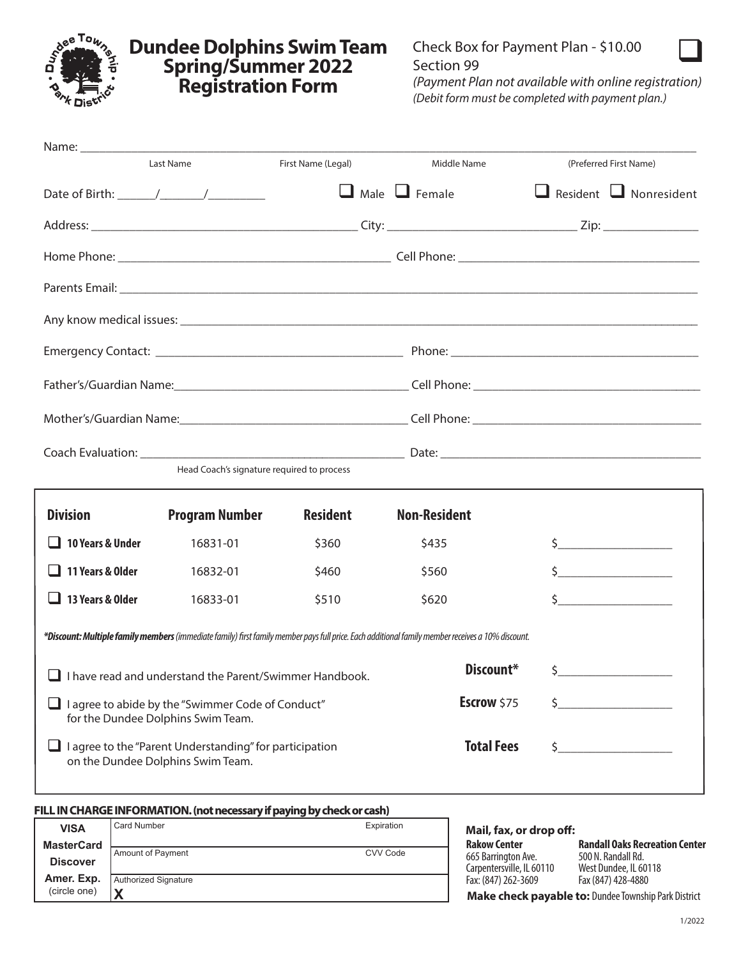

### **Dundee Dolphins Swim Team Spring/Summer 2022 Registration Form**



*(Payment Plan not available with online registration) (Debit form must be completed with payment plan.)*

|                                                                                                     | Last Name                                  | First Name (Legal) | Middle Name                                                                                                                                       | (Preferred First Name)                                                                                                                                                                                                               |
|-----------------------------------------------------------------------------------------------------|--------------------------------------------|--------------------|---------------------------------------------------------------------------------------------------------------------------------------------------|--------------------------------------------------------------------------------------------------------------------------------------------------------------------------------------------------------------------------------------|
|                                                                                                     |                                            |                    | $\Box$ Male $\Box$ Female                                                                                                                         | $\Box$ Resident $\Box$ Nonresident                                                                                                                                                                                                   |
|                                                                                                     |                                            |                    |                                                                                                                                                   |                                                                                                                                                                                                                                      |
|                                                                                                     |                                            |                    |                                                                                                                                                   |                                                                                                                                                                                                                                      |
|                                                                                                     |                                            |                    |                                                                                                                                                   | Parents Email: <u>example and the contract of the contract of the contract of the contract of the contract of the contract of the contract of the contract of the contract of the contract of the contract of the contract of th</u> |
|                                                                                                     |                                            |                    |                                                                                                                                                   |                                                                                                                                                                                                                                      |
|                                                                                                     |                                            |                    |                                                                                                                                                   |                                                                                                                                                                                                                                      |
|                                                                                                     |                                            |                    |                                                                                                                                                   |                                                                                                                                                                                                                                      |
|                                                                                                     |                                            |                    |                                                                                                                                                   |                                                                                                                                                                                                                                      |
|                                                                                                     |                                            |                    |                                                                                                                                                   |                                                                                                                                                                                                                                      |
|                                                                                                     | Head Coach's signature required to process |                    |                                                                                                                                                   |                                                                                                                                                                                                                                      |
| <b>Division</b>                                                                                     | <b>Program Number</b>                      | <b>Resident</b>    | <b>Non-Resident</b>                                                                                                                               |                                                                                                                                                                                                                                      |
| 10 Years & Under                                                                                    | 16831-01                                   | \$360              | \$435                                                                                                                                             | $\mathsf{\$}$                                                                                                                                                                                                                        |
| 11 Years & Older                                                                                    | 16832-01                                   | \$460              | \$560                                                                                                                                             | $\frac{1}{2}$                                                                                                                                                                                                                        |
| 13 Years & Older                                                                                    | 16833-01                                   | \$510              | \$620                                                                                                                                             | $\frac{1}{\sqrt{2}}$                                                                                                                                                                                                                 |
|                                                                                                     |                                            |                    | *Discount: Multiple family members (immediate family) first family member pays full price. Each additional family member receives a 10% discount. |                                                                                                                                                                                                                                      |
| $\Box$ I have read and understand the Parent/Swimmer Handbook.                                      |                                            |                    | Discount*                                                                                                                                         | $\zeta$                                                                                                                                                                                                                              |
| I agree to abide by the "Swimmer Code of Conduct"<br>for the Dundee Dolphins Swim Team.             |                                            |                    | Escrow \$75                                                                                                                                       |                                                                                                                                                                                                                                      |
| $\Box$ I agree to the "Parent Understanding" for participation<br>on the Dundee Dolphins Swim Team. |                                            |                    | <b>Total Fees</b>                                                                                                                                 | \$                                                                                                                                                                                                                                   |
|                                                                                                     |                                            |                    |                                                                                                                                                   |                                                                                                                                                                                                                                      |

|                   | FILL IN CHARGE INFORMATION. (not necessary if paying by check or cash) |            |                           |                                                      |
|-------------------|------------------------------------------------------------------------|------------|---------------------------|------------------------------------------------------|
| <b>VISA</b>       | Card Number                                                            | Expiration | Mail, fax, or drop off:   |                                                      |
| <b>MasterCard</b> |                                                                        |            | <b>Rakow Center</b>       | <b>Randall Oaks Recreation Center</b>                |
| <b>Discover</b>   | Amount of Payment                                                      | CVV Code   | 665 Barrington Ave.       | 500 N. Randall Rd.                                   |
|                   |                                                                        |            | Carpentersville, IL 60110 | West Dundee, IL 60118                                |
| Amer. Exp.        | Authorized Signature                                                   |            | Fax: (847) 262-3609       | Fax (847) 428-4880                                   |
| (circle one)      |                                                                        |            |                           | Make check payable to: Dundee Township Park District |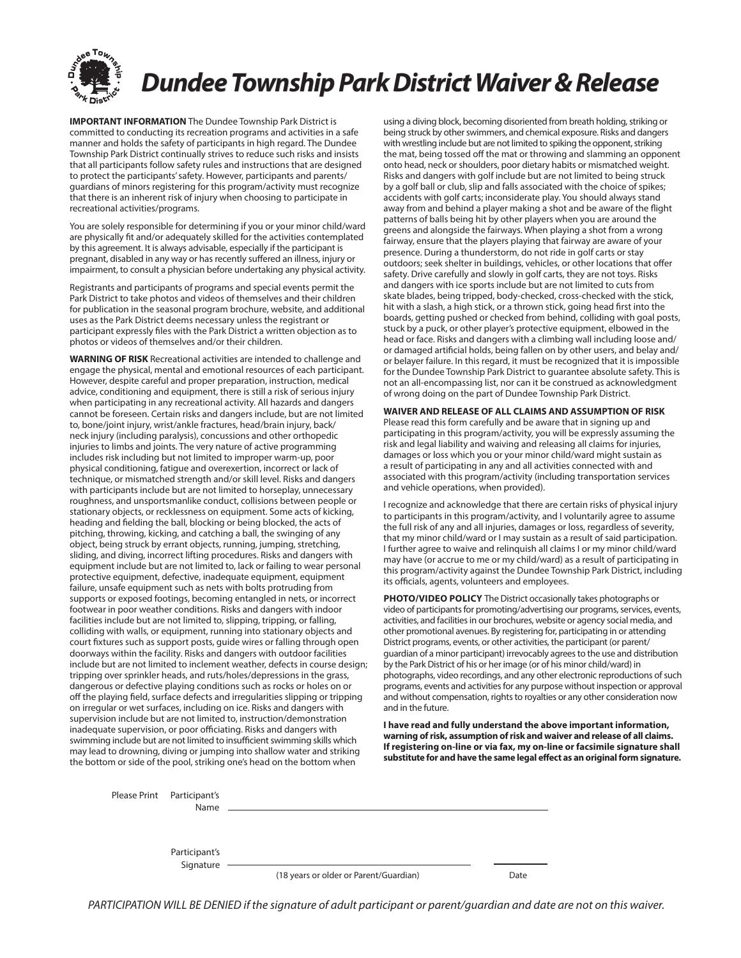

**IMPORTANT INFORMATION** The Dundee Township Park District is committed to conducting its recreation programs and activities in a safe manner and holds the safety of participants in high regard. The Dundee Township Park District continually strives to reduce such risks and insists that all participants follow safety rules and instructions that are designed to protect the participants' safety. However, participants and parents/ guardians of minors registering for this program/activity must recognize that there is an inherent risk of injury when choosing to participate in recreational activities/programs.

You are solely responsible for determining if you or your minor child/ward are physically fit and/or adequately skilled for the activities contemplated by this agreement. It is always advisable, especially if the participant is pregnant, disabled in any way or has recently suffered an illness, injury or impairment, to consult a physician before undertaking any physical activity.

Registrants and participants of programs and special events permit the Park District to take photos and videos of themselves and their children for publication in the seasonal program brochure, website, and additional uses as the Park District deems necessary unless the registrant or participant expressly files with the Park District a written objection as to photos or videos of themselves and/or their children.

**WARNING OF RISK** Recreational activities are intended to challenge and engage the physical, mental and emotional resources of each participant. However, despite careful and proper preparation, instruction, medical advice, conditioning and equipment, there is still a risk of serious injury when participating in any recreational activity. All hazards and dangers cannot be foreseen. Certain risks and dangers include, but are not limited to, bone/joint injury, wrist/ankle fractures, head/brain injury, back/ neck injury (including paralysis), concussions and other orthopedic injuries to limbs and joints. The very nature of active programming includes risk including but not limited to improper warm-up, poor physical conditioning, fatigue and overexertion, incorrect or lack of technique, or mismatched strength and/or skill level. Risks and dangers with participants include but are not limited to horseplay, unnecessary roughness, and unsportsmanlike conduct, collisions between people or stationary objects, or recklessness on equipment. Some acts of kicking, heading and fielding the ball, blocking or being blocked, the acts of pitching, throwing, kicking, and catching a ball, the swinging of any object, being struck by errant objects, running, jumping, stretching, sliding, and diving, incorrect lifting procedures. Risks and dangers with equipment include but are not limited to, lack or failing to wear personal protective equipment, defective, inadequate equipment, equipment failure, unsafe equipment such as nets with bolts protruding from supports or exposed footings, becoming entangled in nets, or incorrect footwear in poor weather conditions. Risks and dangers with indoor facilities include but are not limited to, slipping, tripping, or falling, colliding with walls, or equipment, running into stationary objects and court fixtures such as support posts, guide wires or falling through open doorways within the facility. Risks and dangers with outdoor facilities include but are not limited to inclement weather, defects in course design; tripping over sprinkler heads, and ruts/holes/depressions in the grass, dangerous or defective playing conditions such as rocks or holes on or off the playing field, surface defects and irregularities slipping or tripping on irregular or wet surfaces, including on ice. Risks and dangers with supervision include but are not limited to, instruction/demonstration inadequate supervision, or poor officiating. Risks and dangers with swimming include but are not limited to insufficient swimming skills which may lead to drowning, diving or jumping into shallow water and striking the bottom or side of the pool, striking one's head on the bottom when

using a diving block, becoming disoriented from breath holding, striking or being struck by other swimmers, and chemical exposure. Risks and dangers with wrestling include but are not limited to spiking the opponent, striking the mat, being tossed off the mat or throwing and slamming an opponent onto head, neck or shoulders, poor dietary habits or mismatched weight. Risks and dangers with golf include but are not limited to being struck by a golf ball or club, slip and falls associated with the choice of spikes; accidents with golf carts; inconsiderate play. You should always stand away from and behind a player making a shot and be aware of the flight patterns of balls being hit by other players when you are around the greens and alongside the fairways. When playing a shot from a wrong fairway, ensure that the players playing that fairway are aware of your presence. During a thunderstorm, do not ride in golf carts or stay outdoors; seek shelter in buildings, vehicles, or other locations that offer safety. Drive carefully and slowly in golf carts, they are not toys. Risks and dangers with ice sports include but are not limited to cuts from skate blades, being tripped, body-checked, cross-checked with the stick, hit with a slash, a high stick, or a thrown stick, going head first into the boards, getting pushed or checked from behind, colliding with goal posts, stuck by a puck, or other player's protective equipment, elbowed in the head or face. Risks and dangers with a climbing wall including loose and/ or damaged artificial holds, being fallen on by other users, and belay and/ or belayer failure. In this regard, it must be recognized that it is impossible for the Dundee Township Park District to guarantee absolute safety. This is not an all-encompassing list, nor can it be construed as acknowledgment of wrong doing on the part of Dundee Township Park District.

#### **WAIVER AND RELEASE OF ALL CLAIMS AND ASSUMPTION OF RISK**

Please read this form carefully and be aware that in signing up and participating in this program/activity, you will be expressly assuming the risk and legal liability and waiving and releasing all claims for injuries, damages or loss which you or your minor child/ward might sustain as a result of participating in any and all activities connected with and associated with this program/activity (including transportation services and vehicle operations, when provided).

I recognize and acknowledge that there are certain risks of physical injury to participants in this program/activity, and I voluntarily agree to assume the full risk of any and all injuries, damages or loss, regardless of severity, that my minor child/ward or I may sustain as a result of said participation. I further agree to waive and relinquish all claims I or my minor child/ward may have (or accrue to me or my child/ward) as a result of participating in this program/activity against the Dundee Township Park District, including its officials, agents, volunteers and employees.

**PHOTO/VIDEO POLICY** The District occasionally takes photographs or video of participants for promoting/advertising our programs, services, events, activities, and facilities in our brochures, website or agency social media, and other promotional avenues. By registering for, participating in or attending District programs, events, or other activities, the participant (or parent/ guardian of a minor participant) irrevocably agrees to the use and distribution by the Park District of his or her image (or of his minor child/ward) in photographs, video recordings, and any other electronic reproductions of such programs, events and activities for any purpose without inspection or approval and without compensation, rights to royalties or any other consideration now and in the future.

**I have read and fully understand the above important information, warning of risk, assumption of risk and waiver and release of all claims. If registering on-line or via fax, my on-line or facsimile signature shall substitute for and have the same legal effect as an original form signature.**

| Please Print Participant's<br>Name |                                        |      |
|------------------------------------|----------------------------------------|------|
|                                    |                                        |      |
| Participant's<br>Signature         |                                        |      |
|                                    | (18 years or older or Parent/Guardian) | Date |

*PARTICIPATION WILL BE DENIED if the signature of adult participant or parent/guardian and date are not on this waiver.*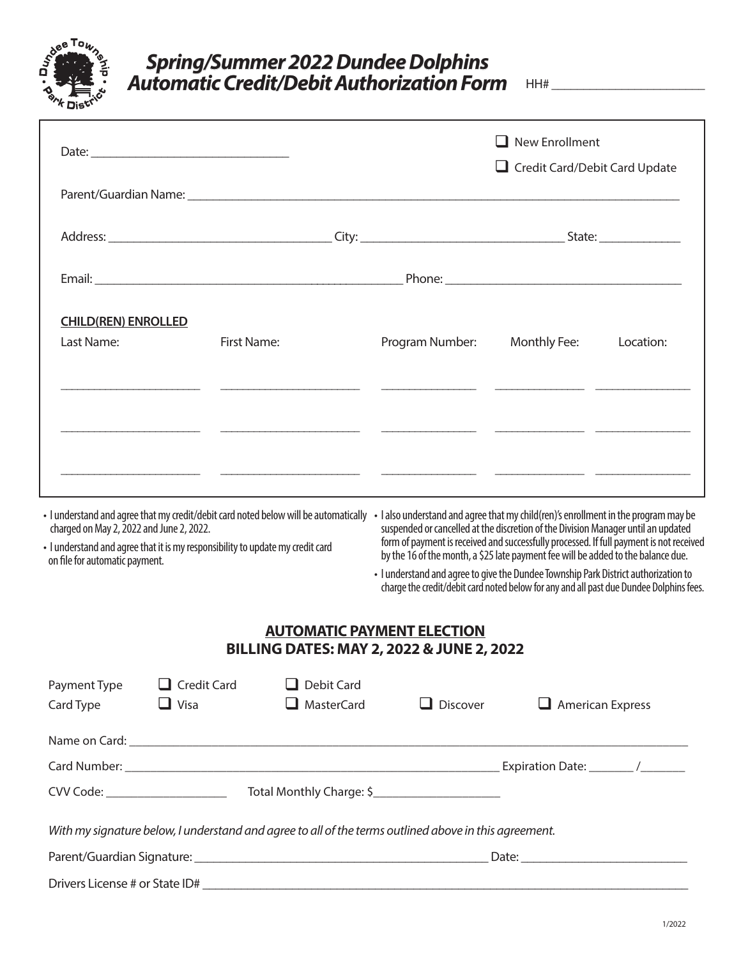

## *Spring/Summer 2022 Dundee Dolphins* Automatic Credit/Debit Authorization Form HH# \_\_\_\_\_\_\_\_\_\_\_\_\_\_\_\_\_

|                                                                                                                                                                                                                                                                                                      |                    |                   |                                                                                                                                                                                                                                                                   | $\Box$ New Enrollment<br>Credit Card/Debit Card Update |           |  |
|------------------------------------------------------------------------------------------------------------------------------------------------------------------------------------------------------------------------------------------------------------------------------------------------------|--------------------|-------------------|-------------------------------------------------------------------------------------------------------------------------------------------------------------------------------------------------------------------------------------------------------------------|--------------------------------------------------------|-----------|--|
|                                                                                                                                                                                                                                                                                                      |                    |                   |                                                                                                                                                                                                                                                                   |                                                        |           |  |
|                                                                                                                                                                                                                                                                                                      |                    |                   |                                                                                                                                                                                                                                                                   |                                                        |           |  |
|                                                                                                                                                                                                                                                                                                      |                    |                   |                                                                                                                                                                                                                                                                   |                                                        |           |  |
| <b>CHILD(REN) ENROLLED</b>                                                                                                                                                                                                                                                                           |                    |                   |                                                                                                                                                                                                                                                                   |                                                        |           |  |
| Last Name:                                                                                                                                                                                                                                                                                           | First Name:        |                   | Program Number:                                                                                                                                                                                                                                                   | Monthly Fee:                                           | Location: |  |
|                                                                                                                                                                                                                                                                                                      |                    |                   |                                                                                                                                                                                                                                                                   |                                                        |           |  |
|                                                                                                                                                                                                                                                                                                      |                    |                   |                                                                                                                                                                                                                                                                   |                                                        |           |  |
|                                                                                                                                                                                                                                                                                                      |                    |                   |                                                                                                                                                                                                                                                                   |                                                        |           |  |
|                                                                                                                                                                                                                                                                                                      |                    |                   |                                                                                                                                                                                                                                                                   |                                                        |           |  |
| I understand and agree that my credit/debit card noted below will be automatically • I also understand and agree that my child(ren)'s enrollment in the program may be<br>charged on May 2, 2022 and June 2, 2022.<br>· I understand and agree that it is my responsibility to update my credit card |                    |                   | suspended or cancelled at the discretion of the Division Manager until an updated<br>form of payment is received and successfully processed. If full payment is not received<br>by the 16 of the month, a \$25 late payment fee will be added to the balance due. |                                                        |           |  |
| on file for automatic payment.                                                                                                                                                                                                                                                                       |                    |                   | · I understand and agree to give the Dundee Township Park District authorization to<br>charge the credit/debit card noted below for any and all past due Dundee Dolphins fees.                                                                                    |                                                        |           |  |
|                                                                                                                                                                                                                                                                                                      |                    |                   | <b>AUTOMATIC PAYMENT ELECTION</b><br>BILLING DATES: MAY 2, 2022 & JUNE 2, 2022                                                                                                                                                                                    |                                                        |           |  |
| Payment Type                                                                                                                                                                                                                                                                                         | $\Box$ Credit Card | Debit Card        |                                                                                                                                                                                                                                                                   |                                                        |           |  |
| Card Type                                                                                                                                                                                                                                                                                            | $\Box$ Visa        | <b>MasterCard</b> | $\Box$ Discover                                                                                                                                                                                                                                                   | $\Box$ American Express                                |           |  |
|                                                                                                                                                                                                                                                                                                      |                    |                   |                                                                                                                                                                                                                                                                   |                                                        |           |  |
|                                                                                                                                                                                                                                                                                                      |                    |                   |                                                                                                                                                                                                                                                                   |                                                        |           |  |
|                                                                                                                                                                                                                                                                                                      |                    |                   |                                                                                                                                                                                                                                                                   |                                                        |           |  |
|                                                                                                                                                                                                                                                                                                      |                    |                   | With my signature below, I understand and agree to all of the terms outlined above in this agreement.                                                                                                                                                             |                                                        |           |  |
|                                                                                                                                                                                                                                                                                                      |                    |                   |                                                                                                                                                                                                                                                                   |                                                        |           |  |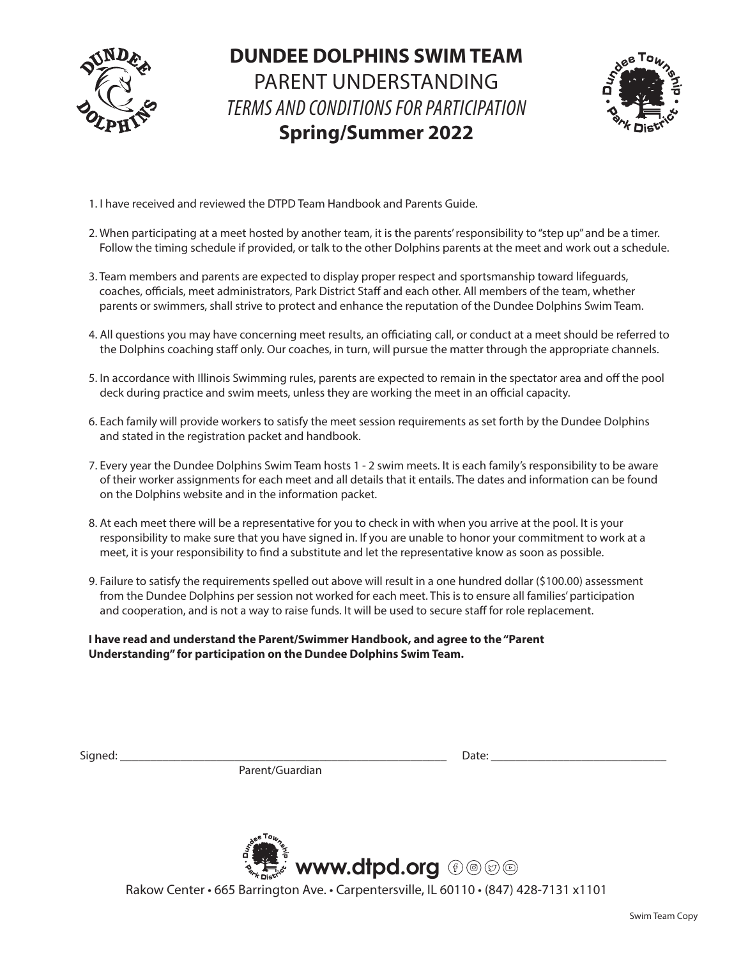

# **DUNDEE DOLPHINS SWIM TEAM** PARENT UNDERSTANDING *TERMS AND CONDITIONS FOR PARTICIPATION* **Spring/Summer 2022**



- 1. I have received and reviewed the DTPD Team Handbook and Parents Guide.
- 2. When participating at a meet hosted by another team, it is the parents' responsibility to "step up" and be a timer. Follow the timing schedule if provided, or talk to the other Dolphins parents at the meet and work out a schedule.
- 3. Team members and parents are expected to display proper respect and sportsmanship toward lifeguards, coaches, officials, meet administrators, Park District Staff and each other. All members of the team, whether parents or swimmers, shall strive to protect and enhance the reputation of the Dundee Dolphins Swim Team.
- 4. All questions you may have concerning meet results, an officiating call, or conduct at a meet should be referred to the Dolphins coaching staff only. Our coaches, in turn, will pursue the matter through the appropriate channels.
- 5. In accordance with Illinois Swimming rules, parents are expected to remain in the spectator area and off the pool deck during practice and swim meets, unless they are working the meet in an official capacity.
- 6. Each family will provide workers to satisfy the meet session requirements as set forth by the Dundee Dolphins and stated in the registration packet and handbook.
- 7. Every year the Dundee Dolphins Swim Team hosts 1 2 swim meets. It is each family's responsibility to be aware of their worker assignments for each meet and all details that it entails. The dates and information can be found on the Dolphins website and in the information packet.
- 8. At each meet there will be a representative for you to check in with when you arrive at the pool. It is your responsibility to make sure that you have signed in. If you are unable to honor your commitment to work at a meet, it is your responsibility to find a substitute and let the representative know as soon as possible.
- 9. Failure to satisfy the requirements spelled out above will result in a one hundred dollar (\$100.00) assessment from the Dundee Dolphins per session not worked for each meet. This is to ensure all families' participation and cooperation, and is not a way to raise funds. It will be used to secure staff for role replacement.

**I have read and understand the Parent/Swimmer Handbook, and agree to the "Parent Understanding" for participation on the Dundee Dolphins Swim Team.**

Parent/Guardian

Signed: \_\_\_\_\_\_\_\_\_\_\_\_\_\_\_\_\_\_\_\_\_\_\_\_\_\_\_\_\_\_\_\_\_\_\_\_\_\_\_\_\_\_\_\_\_\_\_\_\_\_\_\_\_\_ Date: \_\_\_\_\_\_\_\_\_\_\_\_\_\_\_\_\_\_\_\_\_\_\_\_\_\_\_\_\_



Rakow Center • 665 Barrington Ave. • Carpentersville, IL 60110 • (847) 428-7131 x1101